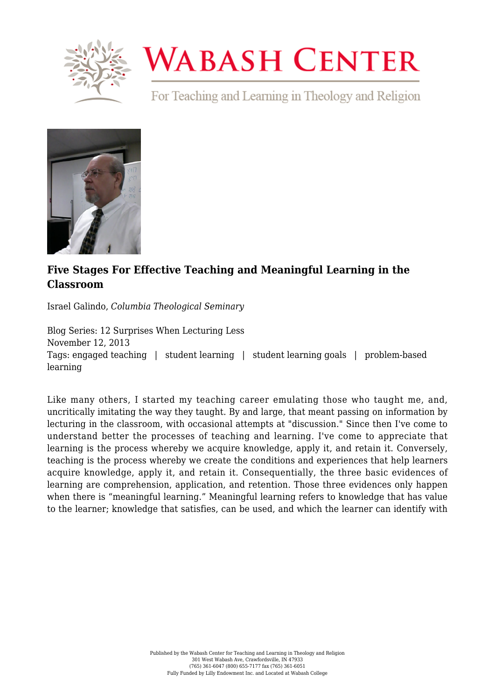

## **WABASH CENTER**

For Teaching and Learning in Theology and Religion



## **[Five Stages For Effective Teaching and Meaningful Learning in the](https://www.wabashcenter.wabash.edu/2013/11/five-stages-for-effective-teaching-and-meaningful-learning-in-the-classroom/) [Classroom](https://www.wabashcenter.wabash.edu/2013/11/five-stages-for-effective-teaching-and-meaningful-learning-in-the-classroom/)**

Israel Galindo, *Columbia Theological Seminary*

Blog Series: 12 Surprises When Lecturing Less November 12, 2013 Tags: engaged teaching | student learning | student learning goals | problem-based learning

Like many others, I started my teaching career emulating those who taught me, and, uncritically imitating the way they taught. By and large, that meant passing on information by lecturing in the classroom, with occasional attempts at "discussion." Since then I've come to understand better the processes of teaching and learning. I've come to appreciate that learning is the process whereby we acquire knowledge, apply it, and retain it. Conversely, teaching is the process whereby we create the conditions and experiences that help learners acquire knowledge, apply it, and retain it. Consequentially, the three basic evidences of learning are comprehension, application, and retention. Those three evidences only happen when there is "meaningful learning." Meaningful learning refers to knowledge that has value to the learner; knowledge that satisfies, can be used, and which the learner can identify with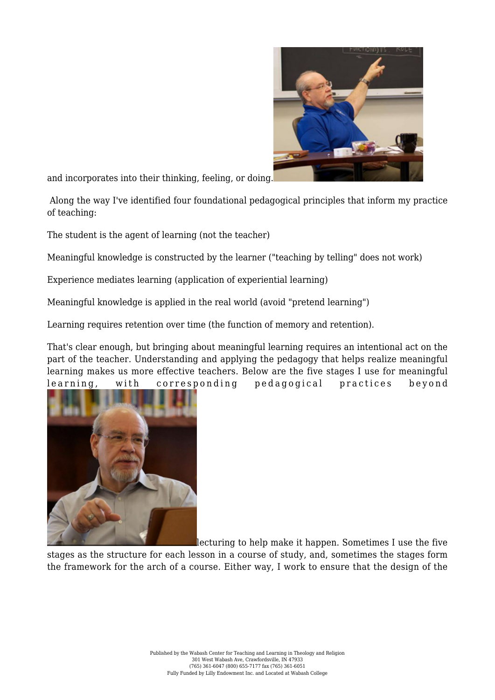

and incorporates into their thinking, feeling, or doing.

 Along the way I've identified four foundational pedagogical principles that inform my practice of teaching:

The student is the agent of learning (not the teacher)

Meaningful knowledge is constructed by the learner ("teaching by telling" does not work)

Experience mediates learning (application of experiential learning)

Meaningful knowledge is applied in the real world (avoid "pretend learning")

Learning requires retention over time (the function of memory and retention).

That's clear enough, but bringing about meaningful learning requires an intentional act on the part of the teacher. Understanding and applying the pedagogy that helps realize meaningful learning makes us more effective teachers. Below are the five stages I use for meaningful learning, with corresponding pedagogical practices beyond



lecturing to help make it happen. Sometimes I use the five

stages as the structure for each lesson in a course of study, and, sometimes the stages form the framework for the arch of a course. Either way, I work to ensure that the design of the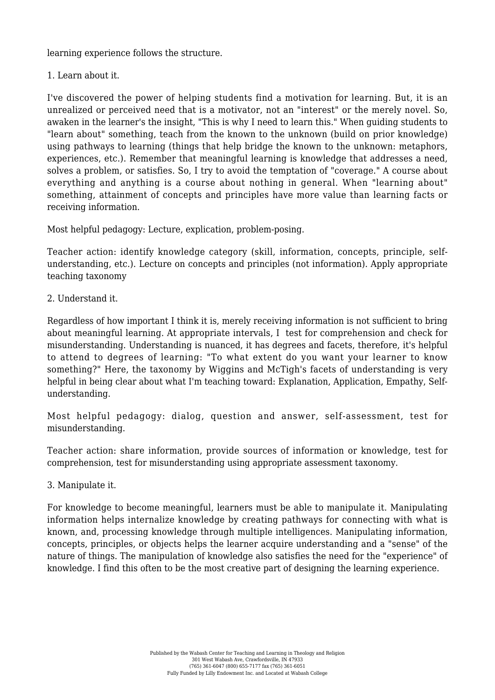learning experience follows the structure.

1. Learn about it.

I've discovered the power of helping students find a motivation for learning. But, it is an unrealized or perceived need that is a motivator, not an "interest" or the merely novel. So, awaken in the learner's the insight, "This is why I need to learn this." When guiding students to "learn about" something, teach from the known to the unknown (build on prior knowledge) using pathways to learning (things that help bridge the known to the unknown: metaphors, experiences, etc.). Remember that meaningful learning is knowledge that addresses a need, solves a problem, or satisfies. So, I try to avoid the temptation of "coverage." A course about everything and anything is a course about nothing in general. When "learning about" something, attainment of concepts and principles have more value than learning facts or receiving information.

Most helpful pedagogy: Lecture, explication, problem-posing.

Teacher action: identify knowledge category (skill, information, concepts, principle, selfunderstanding, etc.). Lecture on concepts and principles (not information). Apply appropriate teaching taxonomy

2. Understand it.

Regardless of how important I think it is, merely receiving information is not sufficient to bring about meaningful learning. At appropriate intervals, I test for comprehension and check for misunderstanding. Understanding is nuanced, it has degrees and facets, therefore, it's helpful to attend to degrees of learning: "To what extent do you want your learner to know something?" Here, the taxonomy by Wiggins and McTigh's facets of understanding is very helpful in being clear about what I'm teaching toward: Explanation, Application, Empathy, Selfunderstanding.

Most helpful pedagogy: dialog, question and answer, self-assessment, test for misunderstanding.

Teacher action: share information, provide sources of information or knowledge, test for comprehension, test for misunderstanding using appropriate assessment taxonomy.

3. Manipulate it.

For knowledge to become meaningful, learners must be able to manipulate it. Manipulating information helps internalize knowledge by creating pathways for connecting with what is known, and, processing knowledge through multiple intelligences. Manipulating information, concepts, principles, or objects helps the learner acquire understanding and a "sense" of the nature of things. The manipulation of knowledge also satisfies the need for the "experience" of knowledge. I find this often to be the most creative part of designing the learning experience.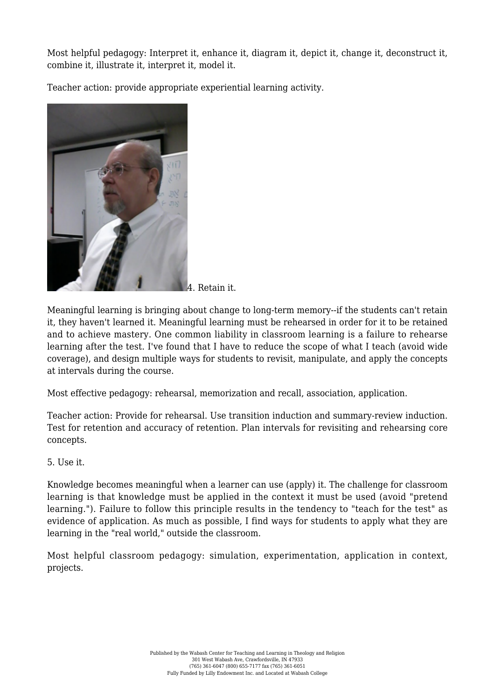Most helpful pedagogy: Interpret it, enhance it, diagram it, depict it, change it, deconstruct it, combine it, illustrate it, interpret it, model it.

Teacher action: provide appropriate experiential learning activity.



4. Retain it.

Meaningful learning is bringing about change to long-term memory--if the students can't retain it, they haven't learned it. Meaningful learning must be rehearsed in order for it to be retained and to achieve mastery. One common liability in classroom learning is a failure to rehearse learning after the test. I've found that I have to reduce the scope of what I teach (avoid wide coverage), and design multiple ways for students to revisit, manipulate, and apply the concepts at intervals during the course.

Most effective pedagogy: rehearsal, memorization and recall, association, application.

Teacher action: Provide for rehearsal. Use transition induction and summary-review induction. Test for retention and accuracy of retention. Plan intervals for revisiting and rehearsing core concepts.

## 5. Use it.

Knowledge becomes meaningful when a learner can use (apply) it. The challenge for classroom learning is that knowledge must be applied in the context it must be used (avoid "pretend learning."). Failure to follow this principle results in the tendency to "teach for the test" as evidence of application. As much as possible, I find ways for students to apply what they are learning in the "real world," outside the classroom.

Most helpful classroom pedagogy: simulation, experimentation, application in context, projects.